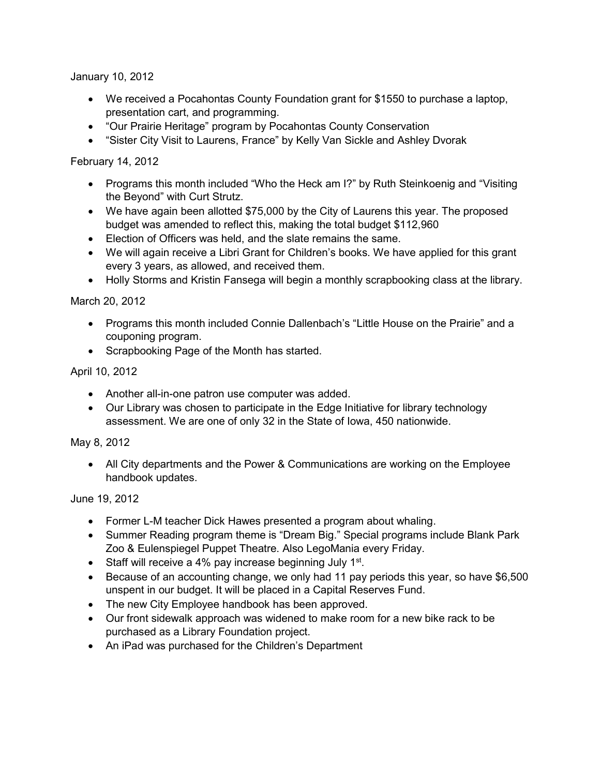January 10, 2012

- We received a Pocahontas County Foundation grant for \$1550 to purchase a laptop, presentation cart, and programming.
- "Our Prairie Heritage" program by Pocahontas County Conservation
- "Sister City Visit to Laurens, France" by Kelly Van Sickle and Ashley Dvorak

February 14, 2012

- Programs this month included "Who the Heck am I?" by Ruth Steinkoenig and "Visiting" the Beyond" with Curt Strutz.
- We have again been allotted \$75,000 by the City of Laurens this year. The proposed budget was amended to reflect this, making the total budget \$112,960
- Election of Officers was held, and the slate remains the same.
- We will again receive a Libri Grant for Children's books. We have applied for this grant every 3 years, as allowed, and received them.
- Holly Storms and Kristin Fansega will begin a monthly scrapbooking class at the library.

March 20, 2012

- Programs this month included Connie Dallenbach's "Little House on the Prairie" and a couponing program.
- Scrapbooking Page of the Month has started.

## April 10, 2012

- Another all-in-one patron use computer was added.
- Our Library was chosen to participate in the Edge Initiative for library technology assessment. We are one of only 32 in the State of Iowa, 450 nationwide.

# May 8, 2012

 All City departments and the Power & Communications are working on the Employee handbook updates.

June 19, 2012

- Former L-M teacher Dick Hawes presented a program about whaling.
- Summer Reading program theme is "Dream Big." Special programs include Blank Park Zoo & Eulenspiegel Puppet Theatre. Also LegoMania every Friday.
- Staff will receive a 4% pay increase beginning July  $1<sup>st</sup>$ .
- Because of an accounting change, we only had 11 pay periods this year, so have \$6,500 unspent in our budget. It will be placed in a Capital Reserves Fund.
- The new City Employee handbook has been approved.
- Our front sidewalk approach was widened to make room for a new bike rack to be purchased as a Library Foundation project.
- An iPad was purchased for the Children's Department